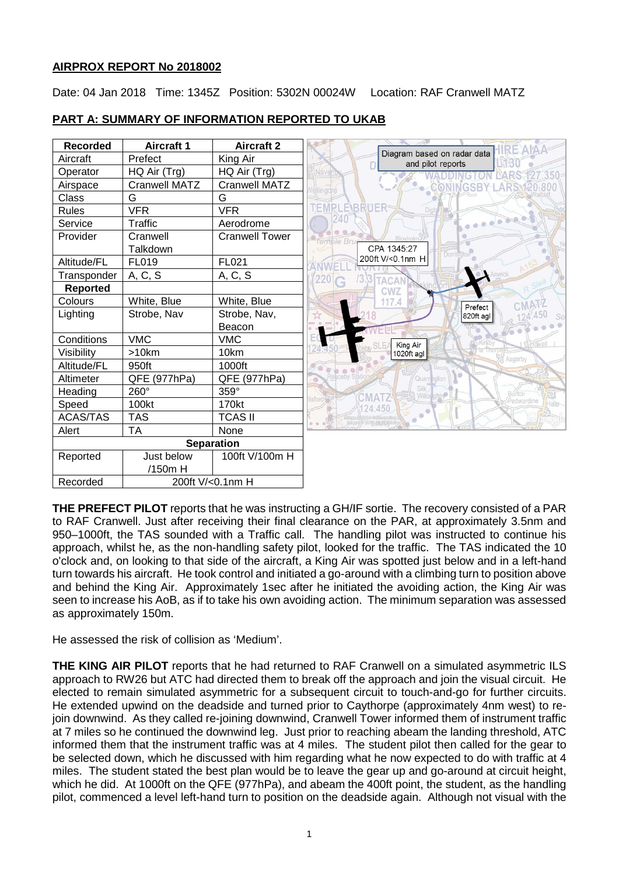# **AIRPROX REPORT No 2018002**

Date: 04 Jan 2018 Time: 1345Z Position: 5302N 00024W Location: RAF Cranwell MATZ

| <b>Recorded</b>   | <b>Aircraft 1</b>    | <b>Aircraft 2</b>     |                                                  |
|-------------------|----------------------|-----------------------|--------------------------------------------------|
| Aircraft          | Prefect              | King Air              | Diagram based on radar data<br>and pilot reports |
| Operator          | HQ Air (Trg)         | HQ Air (Trg)          | Naver                                            |
| Airspace          | <b>Cranwell MATZ</b> | Cranwell MATZ         | lingdre                                          |
| Class             | G                    | G                     |                                                  |
| <b>Rules</b>      | <b>VFR</b>           | <b>VFR</b>            | EMPLE\BRUER                                      |
| Service           | Traffic              | Aerodrome             |                                                  |
| Provider          | Cranwell             | <b>Cranwell Tower</b> | Bloxholn<br>emble Bru                            |
|                   | Talkdown             |                       | CPA 1345:27<br>Dorringtor                        |
| Altitude/FL       | FL019                | FL021                 | 200ft V/<0.1nm H                                 |
| Transponder       | A, C, S              | A, C, S               | 220<br><b>TACAN</b>                              |
| <b>Reported</b>   |                      |                       | <b>CWZ</b>                                       |
| Colours           | White, Blue          | White, Blue           | 117.4<br>Prefect                                 |
| Lighting          | Strobe, Nav          | Strobe, Nav,          | 820ft agl                                        |
|                   |                      | Beacon                |                                                  |
| Conditions        | <b>VMC</b>           | <b>VMC</b>            | King Air                                         |
| Visibility        | $>10$ km             | 10km                  | 1020ft agl<br>Asgarby                            |
| Altitude/FL       | 950ft                | 1000ft                |                                                  |
| Altimeter         | QFE (977hPa)         | QFE (977hPa)          | Raticeby S<br>Quarrington                        |
| Heading           | 260°                 | 359°                  | Silk<br><b>Burton</b><br>Willo<br><b>CMAT2</b>   |
| Speed             | 100kt                | 170kt                 | sford<br>Pedwardine<br>124.450                   |
| <b>ACAS/TAS</b>   | <b>TAS</b>           | <b>TCAS II</b>        |                                                  |
| Alert             | ТA                   | None                  |                                                  |
| <b>Separation</b> |                      |                       |                                                  |
| Reported          | Just below           | 100ft V/100m H        |                                                  |
|                   | /150m H              |                       |                                                  |
| Recorded          | 200ft V/<0.1nm H     |                       |                                                  |

# **PART A: SUMMARY OF INFORMATION REPORTED TO UKAB**

**THE PREFECT PILOT** reports that he was instructing a GH/IF sortie. The recovery consisted of a PAR to RAF Cranwell. Just after receiving their final clearance on the PAR, at approximately 3.5nm and 950–1000ft, the TAS sounded with a Traffic call. The handling pilot was instructed to continue his approach, whilst he, as the non-handling safety pilot, looked for the traffic. The TAS indicated the 10 o'clock and, on looking to that side of the aircraft, a King Air was spotted just below and in a left-hand turn towards his aircraft. He took control and initiated a go-around with a climbing turn to position above and behind the King Air. Approximately 1sec after he initiated the avoiding action, the King Air was seen to increase his AoB, as if to take his own avoiding action. The minimum separation was assessed as approximately 150m.

He assessed the risk of collision as 'Medium'.

**THE KING AIR PILOT** reports that he had returned to RAF Cranwell on a simulated asymmetric ILS approach to RW26 but ATC had directed them to break off the approach and join the visual circuit. He elected to remain simulated asymmetric for a subsequent circuit to touch-and-go for further circuits. He extended upwind on the deadside and turned prior to Caythorpe (approximately 4nm west) to rejoin downwind. As they called re-joining downwind, Cranwell Tower informed them of instrument traffic at 7 miles so he continued the downwind leg. Just prior to reaching abeam the landing threshold, ATC informed them that the instrument traffic was at 4 miles. The student pilot then called for the gear to be selected down, which he discussed with him regarding what he now expected to do with traffic at 4 miles. The student stated the best plan would be to leave the gear up and go-around at circuit height, which he did. At 1000ft on the QFE (977hPa), and abeam the 400ft point, the student, as the handling pilot, commenced a level left-hand turn to position on the deadside again. Although not visual with the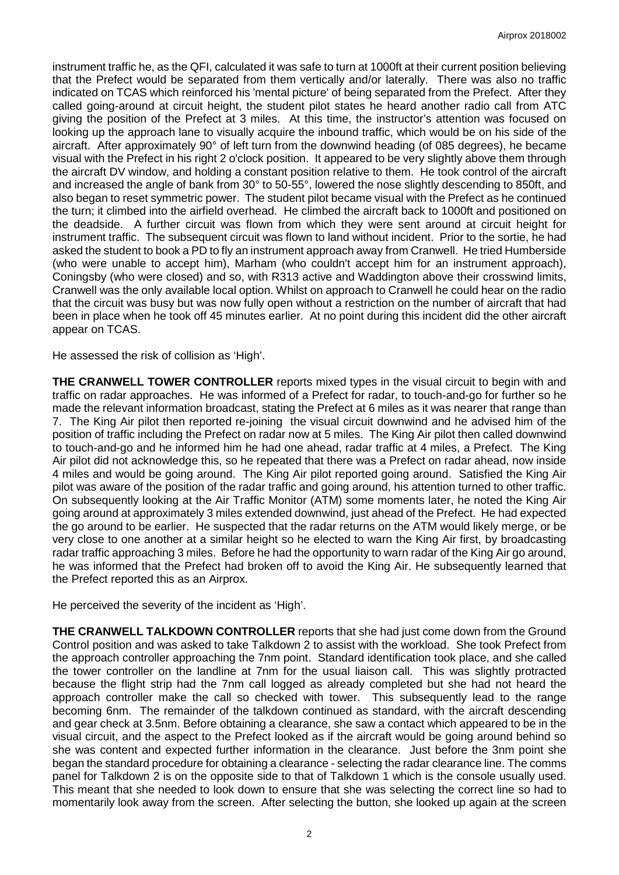instrument traffic he, as the QFI, calculated it was safe to turn at 1000ft at their current position believing that the Prefect would be separated from them vertically and/or laterally. There was also no traffic indicated on TCAS which reinforced his 'mental picture' of being separated from the Prefect. After they called going-around at circuit height, the student pilot states he heard another radio call from ATC giving the position of the Prefect at 3 miles. At this time, the instructor's attention was focused on looking up the approach lane to visually acquire the inbound traffic, which would be on his side of the aircraft. After approximately 90° of left turn from the downwind heading (of 085 degrees), he became visual with the Prefect in his right 2 o'clock position. It appeared to be very slightly above them through the aircraft DV window, and holding a constant position relative to them. He took control of the aircraft and increased the angle of bank from 30° to 50-55°, lowered the nose slightly descending to 850ft, and also began to reset symmetric power. The student pilot became visual with the Prefect as he continued the turn; it climbed into the airfield overhead. He climbed the aircraft back to 1000ft and positioned on the deadside. A further circuit was flown from which they were sent around at circuit height for instrument traffic. The subsequent circuit was flown to land without incident. Prior to the sortie, he had asked the student to book a PD to fly an instrument approach away from Cranwell. He tried Humberside (who were unable to accept him), Marham (who couldn't accept him for an instrument approach), Coningsby (who were closed) and so, with R313 active and Waddington above their crosswind limits, Cranwell was the only available local option. Whilst on approach to Cranwell he could hear on the radio that the circuit was busy but was now fully open without a restriction on the number of aircraft that had been in place when he took off 45 minutes earlier. At no point during this incident did the other aircraft appear on TCAS.

He assessed the risk of collision as 'High'.

**THE CRANWELL TOWER CONTROLLER** reports mixed types in the visual circuit to begin with and traffic on radar approaches. He was informed of a Prefect for radar, to touch-and-go for further so he made the relevant information broadcast, stating the Prefect at 6 miles as it was nearer that range than 7. The King Air pilot then reported re-joining the visual circuit downwind and he advised him of the position of traffic including the Prefect on radar now at 5 miles. The King Air pilot then called downwind to touch-and-go and he informed him he had one ahead, radar traffic at 4 miles, a Prefect. The King Air pilot did not acknowledge this, so he repeated that there was a Prefect on radar ahead, now inside 4 miles and would be going around. The King Air pilot reported going around. Satisfied the King Air pilot was aware of the position of the radar traffic and going around, his attention turned to other traffic. On subsequently looking at the Air Traffic Monitor (ATM) some moments later, he noted the King Air going around at approximately 3 miles extended downwind, just ahead of the Prefect. He had expected the go around to be earlier. He suspected that the radar returns on the ATM would likely merge, or be very close to one another at a similar height so he elected to warn the King Air first, by broadcasting radar traffic approaching 3 miles. Before he had the opportunity to warn radar of the King Air go around, he was informed that the Prefect had broken off to avoid the King Air. He subsequently learned that the Prefect reported this as an Airprox.

He perceived the severity of the incident as 'High'.

**THE CRANWELL TALKDOWN CONTROLLER** reports that she had just come down from the Ground Control position and was asked to take Talkdown 2 to assist with the workload. She took Prefect from the approach controller approaching the 7nm point. Standard identification took place, and she called the tower controller on the landline at 7nm for the usual liaison call. This was slightly protracted because the flight strip had the 7nm call logged as already completed but she had not heard the approach controller make the call so checked with tower. This subsequently lead to the range becoming 6nm. The remainder of the talkdown continued as standard, with the aircraft descending and gear check at 3.5nm. Before obtaining a clearance, she saw a contact which appeared to be in the visual circuit, and the aspect to the Prefect looked as if the aircraft would be going around behind so she was content and expected further information in the clearance. Just before the 3nm point she began the standard procedure for obtaining a clearance - selecting the radar clearance line. The comms panel for Talkdown 2 is on the opposite side to that of Talkdown 1 which is the console usually used. This meant that she needed to look down to ensure that she was selecting the correct line so had to momentarily look away from the screen. After selecting the button, she looked up again at the screen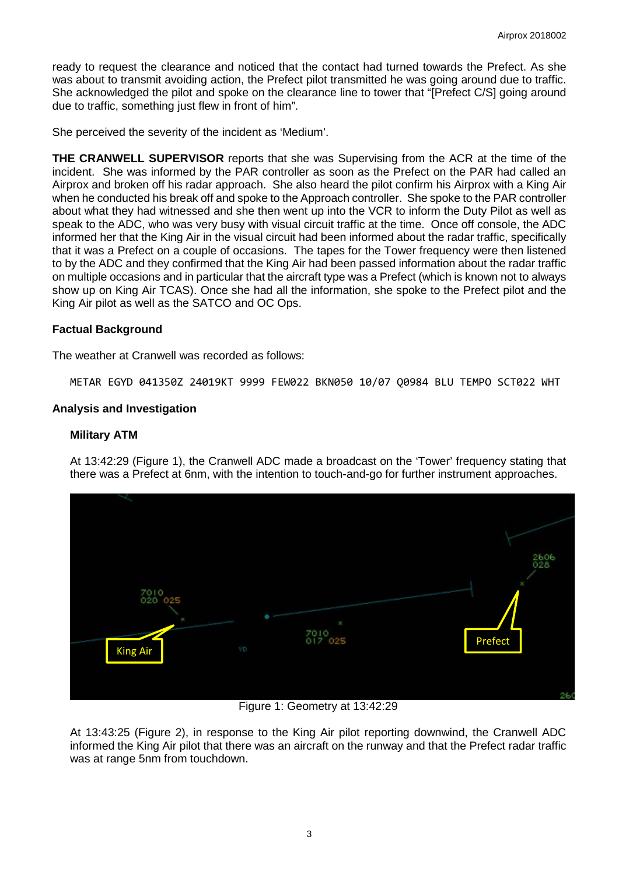ready to request the clearance and noticed that the contact had turned towards the Prefect. As she was about to transmit avoiding action, the Prefect pilot transmitted he was going around due to traffic. She acknowledged the pilot and spoke on the clearance line to tower that "[Prefect C/S] going around due to traffic, something just flew in front of him".

She perceived the severity of the incident as 'Medium'.

**THE CRANWELL SUPERVISOR** reports that she was Supervising from the ACR at the time of the incident. She was informed by the PAR controller as soon as the Prefect on the PAR had called an Airprox and broken off his radar approach. She also heard the pilot confirm his Airprox with a King Air when he conducted his break off and spoke to the Approach controller. She spoke to the PAR controller about what they had witnessed and she then went up into the VCR to inform the Duty Pilot as well as speak to the ADC, who was very busy with visual circuit traffic at the time. Once off console, the ADC informed her that the King Air in the visual circuit had been informed about the radar traffic, specifically that it was a Prefect on a couple of occasions. The tapes for the Tower frequency were then listened to by the ADC and they confirmed that the King Air had been passed information about the radar traffic on multiple occasions and in particular that the aircraft type was a Prefect (which is known not to always show up on King Air TCAS). Once she had all the information, she spoke to the Prefect pilot and the King Air pilot as well as the SATCO and OC Ops.

# **Factual Background**

The weather at Cranwell was recorded as follows:

METAR EGYD 041350Z 24019KT 9999 FEW022 BKN050 10/07 Q0984 BLU TEMPO SCT022 WHT

# **Analysis and Investigation**

### **Military ATM**

At 13:42:29 (Figure 1), the Cranwell ADC made a broadcast on the 'Tower' frequency stating that there was a Prefect at 6nm, with the intention to touch-and-go for further instrument approaches.



Figure 1: Geometry at 13:42:29

At 13:43:25 (Figure 2), in response to the King Air pilot reporting downwind, the Cranwell ADC informed the King Air pilot that there was an aircraft on the runway and that the Prefect radar traffic was at range 5nm from touchdown.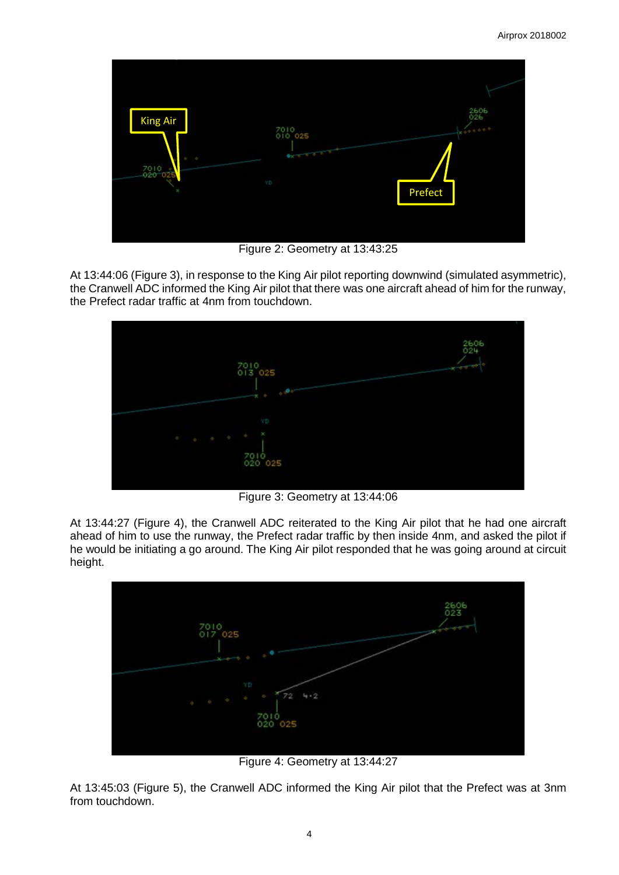

Figure 2: Geometry at 13:43:25

At 13:44:06 (Figure 3), in response to the King Air pilot reporting downwind (simulated asymmetric), the Cranwell ADC informed the King Air pilot that there was one aircraft ahead of him for the runway, the Prefect radar traffic at 4nm from touchdown.



Figure 3: Geometry at 13:44:06

At 13:44:27 (Figure 4), the Cranwell ADC reiterated to the King Air pilot that he had one aircraft ahead of him to use the runway, the Prefect radar traffic by then inside 4nm, and asked the pilot if he would be initiating a go around. The King Air pilot responded that he was going around at circuit height.



Figure 4: Geometry at 13:44:27

At 13:45:03 (Figure 5), the Cranwell ADC informed the King Air pilot that the Prefect was at 3nm from touchdown.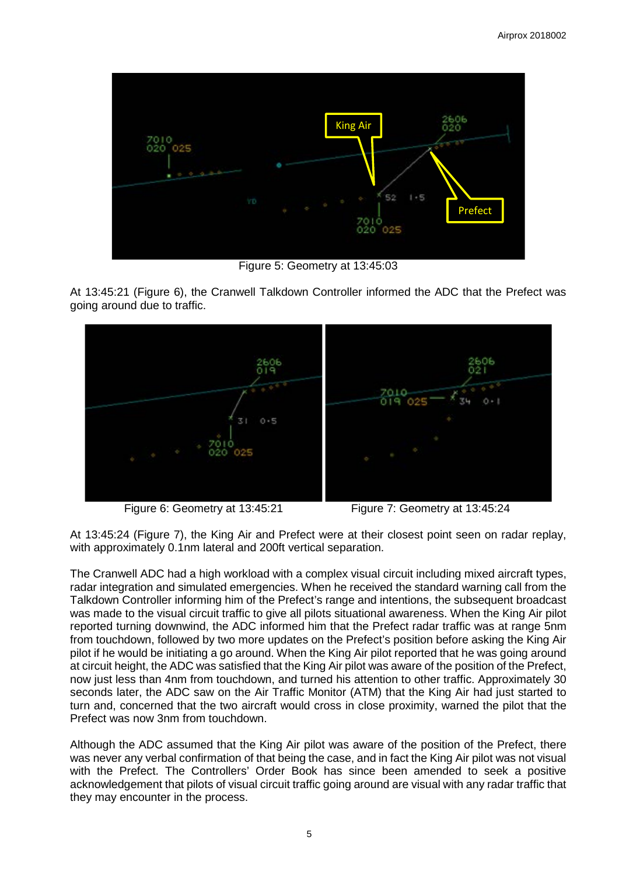

Figure 5: Geometry at 13:45:03

At 13:45:21 (Figure 6), the Cranwell Talkdown Controller informed the ADC that the Prefect was going around due to traffic.



Figure 6: Geometry at 13:45:21 Figure 7: Geometry at 13:45:24

At 13:45:24 (Figure 7), the King Air and Prefect were at their closest point seen on radar replay, with approximately 0.1nm lateral and 200ft vertical separation.

The Cranwell ADC had a high workload with a complex visual circuit including mixed aircraft types, radar integration and simulated emergencies. When he received the standard warning call from the Talkdown Controller informing him of the Prefect's range and intentions, the subsequent broadcast was made to the visual circuit traffic to give all pilots situational awareness. When the King Air pilot reported turning downwind, the ADC informed him that the Prefect radar traffic was at range 5nm from touchdown, followed by two more updates on the Prefect's position before asking the King Air pilot if he would be initiating a go around. When the King Air pilot reported that he was going around at circuit height, the ADC was satisfied that the King Air pilot was aware of the position of the Prefect, now just less than 4nm from touchdown, and turned his attention to other traffic. Approximately 30 seconds later, the ADC saw on the Air Traffic Monitor (ATM) that the King Air had just started to turn and, concerned that the two aircraft would cross in close proximity, warned the pilot that the Prefect was now 3nm from touchdown.

Although the ADC assumed that the King Air pilot was aware of the position of the Prefect, there was never any verbal confirmation of that being the case, and in fact the King Air pilot was not visual with the Prefect. The Controllers' Order Book has since been amended to seek a positive acknowledgement that pilots of visual circuit traffic going around are visual with any radar traffic that they may encounter in the process.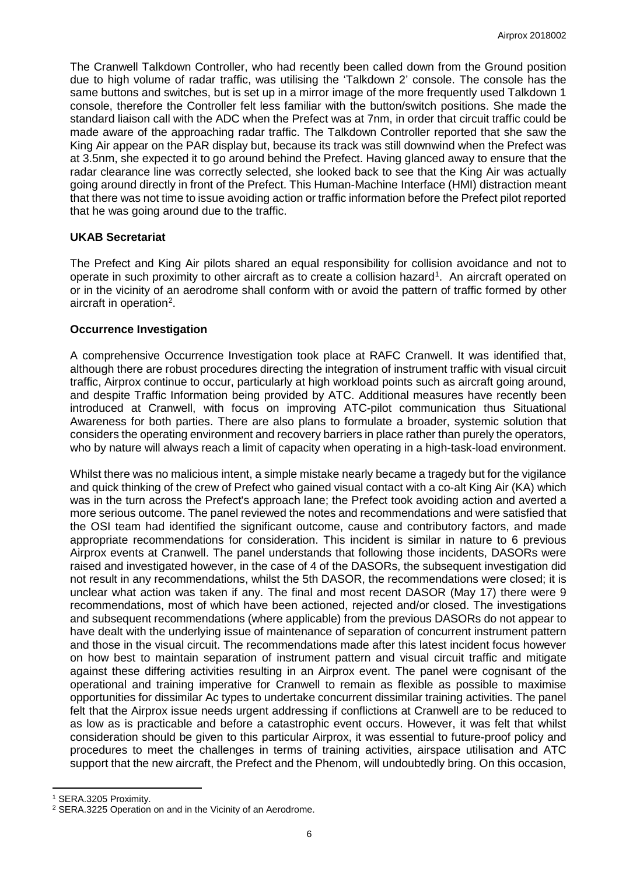The Cranwell Talkdown Controller, who had recently been called down from the Ground position due to high volume of radar traffic, was utilising the 'Talkdown 2' console. The console has the same buttons and switches, but is set up in a mirror image of the more frequently used Talkdown 1 console, therefore the Controller felt less familiar with the button/switch positions. She made the standard liaison call with the ADC when the Prefect was at 7nm, in order that circuit traffic could be made aware of the approaching radar traffic. The Talkdown Controller reported that she saw the King Air appear on the PAR display but, because its track was still downwind when the Prefect was at 3.5nm, she expected it to go around behind the Prefect. Having glanced away to ensure that the radar clearance line was correctly selected, she looked back to see that the King Air was actually going around directly in front of the Prefect. This Human-Machine Interface (HMI) distraction meant that there was not time to issue avoiding action or traffic information before the Prefect pilot reported that he was going around due to the traffic.

# **UKAB Secretariat**

The Prefect and King Air pilots shared an equal responsibility for collision avoidance and not to operate in such proximity to other aircraft as to create a collision hazard<sup>[1](#page-5-0)</sup>. An aircraft operated on or in the vicinity of an aerodrome shall conform with or avoid the pattern of traffic formed by other aircraft in operation<sup>[2](#page-5-1)</sup>.

#### **Occurrence Investigation**

A comprehensive Occurrence Investigation took place at RAFC Cranwell. It was identified that, although there are robust procedures directing the integration of instrument traffic with visual circuit traffic, Airprox continue to occur, particularly at high workload points such as aircraft going around, and despite Traffic Information being provided by ATC. Additional measures have recently been introduced at Cranwell, with focus on improving ATC-pilot communication thus Situational Awareness for both parties. There are also plans to formulate a broader, systemic solution that considers the operating environment and recovery barriers in place rather than purely the operators, who by nature will always reach a limit of capacity when operating in a high-task-load environment.

Whilst there was no malicious intent, a simple mistake nearly became a tragedy but for the vigilance and quick thinking of the crew of Prefect who gained visual contact with a co-alt King Air (KA) which was in the turn across the Prefect's approach lane; the Prefect took avoiding action and averted a more serious outcome. The panel reviewed the notes and recommendations and were satisfied that the OSI team had identified the significant outcome, cause and contributory factors, and made appropriate recommendations for consideration. This incident is similar in nature to 6 previous Airprox events at Cranwell. The panel understands that following those incidents, DASORs were raised and investigated however, in the case of 4 of the DASORs, the subsequent investigation did not result in any recommendations, whilst the 5th DASOR, the recommendations were closed; it is unclear what action was taken if any. The final and most recent DASOR (May 17) there were 9 recommendations, most of which have been actioned, rejected and/or closed. The investigations and subsequent recommendations (where applicable) from the previous DASORs do not appear to have dealt with the underlying issue of maintenance of separation of concurrent instrument pattern and those in the visual circuit. The recommendations made after this latest incident focus however on how best to maintain separation of instrument pattern and visual circuit traffic and mitigate against these differing activities resulting in an Airprox event. The panel were cognisant of the operational and training imperative for Cranwell to remain as flexible as possible to maximise opportunities for dissimilar Ac types to undertake concurrent dissimilar training activities. The panel felt that the Airprox issue needs urgent addressing if conflictions at Cranwell are to be reduced to as low as is practicable and before a catastrophic event occurs. However, it was felt that whilst consideration should be given to this particular Airprox, it was essential to future-proof policy and procedures to meet the challenges in terms of training activities, airspace utilisation and ATC support that the new aircraft, the Prefect and the Phenom, will undoubtedly bring. On this occasion,

l

<span id="page-5-0"></span><sup>1</sup> SERA.3205 Proximity.

<span id="page-5-1"></span><sup>2</sup> SERA.3225 Operation on and in the Vicinity of an Aerodrome.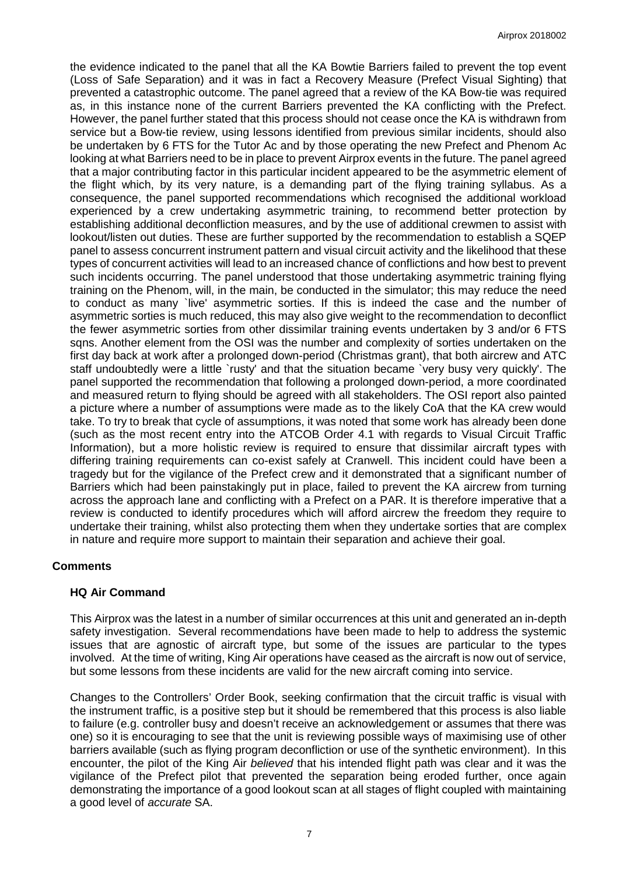the evidence indicated to the panel that all the KA Bowtie Barriers failed to prevent the top event (Loss of Safe Separation) and it was in fact a Recovery Measure (Prefect Visual Sighting) that prevented a catastrophic outcome. The panel agreed that a review of the KA Bow-tie was required as, in this instance none of the current Barriers prevented the KA conflicting with the Prefect. However, the panel further stated that this process should not cease once the KA is withdrawn from service but a Bow-tie review, using lessons identified from previous similar incidents, should also be undertaken by 6 FTS for the Tutor Ac and by those operating the new Prefect and Phenom Ac looking at what Barriers need to be in place to prevent Airprox events in the future. The panel agreed that a major contributing factor in this particular incident appeared to be the asymmetric element of the flight which, by its very nature, is a demanding part of the flying training syllabus. As a consequence, the panel supported recommendations which recognised the additional workload experienced by a crew undertaking asymmetric training, to recommend better protection by establishing additional deconfliction measures, and by the use of additional crewmen to assist with lookout/listen out duties. These are further supported by the recommendation to establish a SQEP panel to assess concurrent instrument pattern and visual circuit activity and the likelihood that these types of concurrent activities will lead to an increased chance of conflictions and how best to prevent such incidents occurring. The panel understood that those undertaking asymmetric training flying training on the Phenom, will, in the main, be conducted in the simulator; this may reduce the need to conduct as many `live' asymmetric sorties. If this is indeed the case and the number of asymmetric sorties is much reduced, this may also give weight to the recommendation to deconflict the fewer asymmetric sorties from other dissimilar training events undertaken by 3 and/or 6 FTS sqns. Another element from the OSI was the number and complexity of sorties undertaken on the first day back at work after a prolonged down-period (Christmas grant), that both aircrew and ATC staff undoubtedly were a little `rusty' and that the situation became `very busy very quickly'. The panel supported the recommendation that following a prolonged down-period, a more coordinated and measured return to flying should be agreed with all stakeholders. The OSI report also painted a picture where a number of assumptions were made as to the likely CoA that the KA crew would take. To try to break that cycle of assumptions, it was noted that some work has already been done (such as the most recent entry into the ATCOB Order 4.1 with regards to Visual Circuit Traffic Information), but a more holistic review is required to ensure that dissimilar aircraft types with differing training requirements can co-exist safely at Cranwell. This incident could have been a tragedy but for the vigilance of the Prefect crew and it demonstrated that a significant number of Barriers which had been painstakingly put in place, failed to prevent the KA aircrew from turning across the approach lane and conflicting with a Prefect on a PAR. It is therefore imperative that a review is conducted to identify procedures which will afford aircrew the freedom they require to undertake their training, whilst also protecting them when they undertake sorties that are complex in nature and require more support to maintain their separation and achieve their goal.

# **Comments**

#### **HQ Air Command**

This Airprox was the latest in a number of similar occurrences at this unit and generated an in-depth safety investigation. Several recommendations have been made to help to address the systemic issues that are agnostic of aircraft type, but some of the issues are particular to the types involved. At the time of writing, King Air operations have ceased as the aircraft is now out of service, but some lessons from these incidents are valid for the new aircraft coming into service.

Changes to the Controllers' Order Book, seeking confirmation that the circuit traffic is visual with the instrument traffic, is a positive step but it should be remembered that this process is also liable to failure (e.g. controller busy and doesn't receive an acknowledgement or assumes that there was one) so it is encouraging to see that the unit is reviewing possible ways of maximising use of other barriers available (such as flying program deconfliction or use of the synthetic environment). In this encounter, the pilot of the King Air *believed* that his intended flight path was clear and it was the vigilance of the Prefect pilot that prevented the separation being eroded further, once again demonstrating the importance of a good lookout scan at all stages of flight coupled with maintaining a good level of *accurate* SA.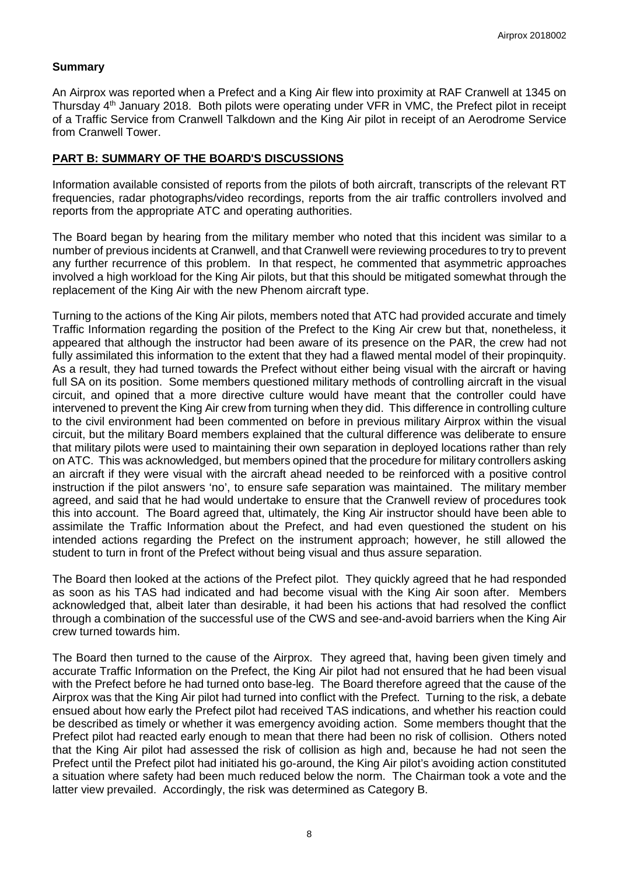# **Summary**

An Airprox was reported when a Prefect and a King Air flew into proximity at RAF Cranwell at 1345 on Thursday 4<sup>th</sup> January 2018. Both pilots were operating under VFR in VMC, the Prefect pilot in receipt of a Traffic Service from Cranwell Talkdown and the King Air pilot in receipt of an Aerodrome Service from Cranwell Tower.

# **PART B: SUMMARY OF THE BOARD'S DISCUSSIONS**

Information available consisted of reports from the pilots of both aircraft, transcripts of the relevant RT frequencies, radar photographs/video recordings, reports from the air traffic controllers involved and reports from the appropriate ATC and operating authorities.

The Board began by hearing from the military member who noted that this incident was similar to a number of previous incidents at Cranwell, and that Cranwell were reviewing procedures to try to prevent any further recurrence of this problem. In that respect, he commented that asymmetric approaches involved a high workload for the King Air pilots, but that this should be mitigated somewhat through the replacement of the King Air with the new Phenom aircraft type.

Turning to the actions of the King Air pilots, members noted that ATC had provided accurate and timely Traffic Information regarding the position of the Prefect to the King Air crew but that, nonetheless, it appeared that although the instructor had been aware of its presence on the PAR, the crew had not fully assimilated this information to the extent that they had a flawed mental model of their propinquity. As a result, they had turned towards the Prefect without either being visual with the aircraft or having full SA on its position. Some members questioned military methods of controlling aircraft in the visual circuit, and opined that a more directive culture would have meant that the controller could have intervened to prevent the King Air crew from turning when they did. This difference in controlling culture to the civil environment had been commented on before in previous military Airprox within the visual circuit, but the military Board members explained that the cultural difference was deliberate to ensure that military pilots were used to maintaining their own separation in deployed locations rather than rely on ATC. This was acknowledged, but members opined that the procedure for military controllers asking an aircraft if they were visual with the aircraft ahead needed to be reinforced with a positive control instruction if the pilot answers 'no', to ensure safe separation was maintained. The military member agreed, and said that he had would undertake to ensure that the Cranwell review of procedures took this into account. The Board agreed that, ultimately, the King Air instructor should have been able to assimilate the Traffic Information about the Prefect, and had even questioned the student on his intended actions regarding the Prefect on the instrument approach; however, he still allowed the student to turn in front of the Prefect without being visual and thus assure separation.

The Board then looked at the actions of the Prefect pilot. They quickly agreed that he had responded as soon as his TAS had indicated and had become visual with the King Air soon after. Members acknowledged that, albeit later than desirable, it had been his actions that had resolved the conflict through a combination of the successful use of the CWS and see-and-avoid barriers when the King Air crew turned towards him.

The Board then turned to the cause of the Airprox. They agreed that, having been given timely and accurate Traffic Information on the Prefect, the King Air pilot had not ensured that he had been visual with the Prefect before he had turned onto base-leg. The Board therefore agreed that the cause of the Airprox was that the King Air pilot had turned into conflict with the Prefect. Turning to the risk, a debate ensued about how early the Prefect pilot had received TAS indications, and whether his reaction could be described as timely or whether it was emergency avoiding action. Some members thought that the Prefect pilot had reacted early enough to mean that there had been no risk of collision. Others noted that the King Air pilot had assessed the risk of collision as high and, because he had not seen the Prefect until the Prefect pilot had initiated his go-around, the King Air pilot's avoiding action constituted a situation where safety had been much reduced below the norm. The Chairman took a vote and the latter view prevailed. Accordingly, the risk was determined as Category B.